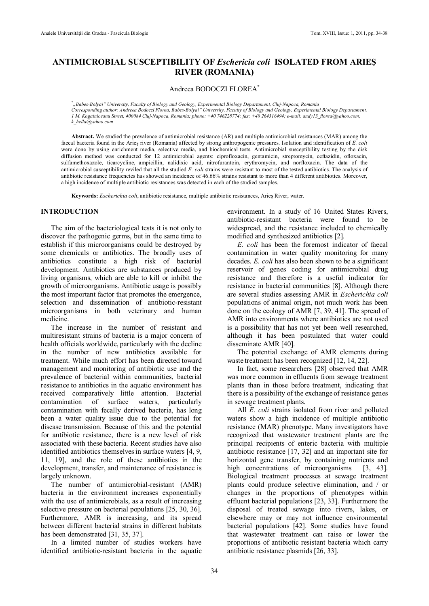# **ANTIMICROBIAL SUSCEPTIBILITY OF** *Eschericia coli* **ISOLATED FROM ARIEŞ RIVER (ROMANIA)**

Andreea BODOCZI FLOREA\*

\* *"Babes-Bolyai" University, Faculty of Biology and Geology, Experimental Biology Departament, Cluj-Napoca, Romania Corresponding author: Andreea Bodoczi Florea, Babes-Bolyai" University, Faculty of Biology and Geology, Experimental Biology Departament, 1 M. Kogalniceanu Street, 400084 Cluj-Napoca, Romania; phone: +40 746228774; fax: +40 264316494; e-mail: [andy13\\_florea@yahoo.com;](mailto:andy13_florea@yahoo.com) [k\\_hella@yahoo.com](mailto:k_hella@yahoo.com)*

**Abstract.** We studied the prevalence of antimicrobial resistance (AR) and multiple antimicrobial resistances (MAR) among the faecal bacteria found in the Arieş river (Romania) affected by strong anthropogenic pressures. Isolation and identification of *E. coli* were done by using enrichment media, selective media, and biochemical tests. Antimicrobial susceptibility testing by the disk diffusion method was conducted for 12 antimicrobial agents: ciprofloxacin, gentamicin, streptomycin, ceftazidin, ofloxacin, sulfamethoxazole, ticarcycline, ampicillin, nalidixic acid, nitrofurantoin, erythromycin, and norfloxacin. The data of the antimicrobial susceptibility reviled that all the studied *E. coli* strains were resistant to most of the tested antibiotics. The analysis of antibiotic resistance frequencies has showed an incidence of 46.66% strains resistant to more than 4 different antibiotics. Moreover, a high incidence of multiple antibiotic resistances was detected in each of the studied samples.

**Keywords:** *Escherichia coli*, antibiotic resistance, multiple antibiotic resistances, Arieş River, water.

#### **INTRODUCTION**

The aim of the bacteriological tests it is not only to discover the pathogenic germs, but in the same time to establish if this microorganisms could be destroyed by some chemicals or antibiotics. The broadly uses of antibiotics constitute a high risk of bacterial development. Antibiotics are substances produced by living organisms, which are able to kill or inhibit the growth of microorganisms. Antibiotic usage is possibly the most important factor that promotes the emergence, selection and dissemination of antibiotic-resistant microorganisms in both veterinary and human medicine.

The increase in the number of resistant and multiresistant strains of bacteria is a major concern of health officials worldwide, particularly with the decline in the number of new antibiotics available for treatment. While much effort has been directed toward management and monitoring of antibiotic use and the prevalence of bacterial within communities, bacterial resistance to antibiotics in the aquatic environment has received comparatively little attention. Bacterial contamination of surface waters, particularly contamination with fecally derived bacteria, has long been a water quality issue due to the potential for disease transmission. Because of this and the potential for antibiotic resistance, there is a new level of risk associated with these bacteria. Recent studies have also identified antibiotics themselves in surface waters [4, 9, 11, 19], and the role of these antibiotics in the development, transfer, and maintenance of resistance is largely unknown.

The number of antimicrobial-resistant (AMR) bacteria in the environment increases exponentially with the use of antimicrobials, as a result of increasing selective pressure on bacterial populations [25, 30, 36]. Furthermore, AMR is increasing, and its spread between different bacterial strains in different habitats has been demonstrated [31, 35, 37].

In a limited number of studies workers have identified antibiotic-resistant bacteria in the aquatic environment. In a study of 16 United States Rivers, antibiotic-resistant bacteria were found to be widespread, and the resistance included to chemically modified and synthesized antibiotics [2].

*E. coli* has been the foremost indicator of faecal contamination in water quality monitoring for many decades. *E. coli* has also been shown to be a significant reservoir of genes coding for antimicrobial drug resistance and therefore is a useful indicator for resistance in bacterial communities [8]. Although there are several studies assessing AMR in *Escherichia coli* populations of animal origin, not much work has been done on the ecology of AMR [7, 39, 41]. The spread of AMR into environments where antibiotics are not used is a possibility that has not yet been well researched, although it has been postulated that water could disseminate AMR [40].

The potential exchange of AMR elements during waste treatment has been recognized [12, 14, 22].

In fact, some researchers [28] observed that AMR was more common in effluents from sewage treatment plants than in those before treatment, indicating that there is a possibility of the exchange of resistance genes in sewage treatment plants.

All *E. coli* strains isolated from river and polluted waters show a high incidence of multiple antibiotic resistance (MAR) phenotype. Many investigators have recognized that wastewater treatment plants are the principal recipients of enteric bacteria with multiple antibiotic resistance [17, 32] and an important site for horizontal gene transfer, by containing nutrients and high concentrations of microorganisms [3, 43]. Biological treatment processes at sewage treatment plants could produce selective elimination, and / or changes in the proportions of phenotypes within effluent bacterial populations [23, 33]. Furthermore the disposal of treated sewage into rivers, lakes, or elsewhere may or may not influence environmental bacterial populations [42]. Some studies have found that wastewater treatment can raise or lower the proportions of antibiotic resistant bacteria which carry antibiotic resistance plasmids [26, 33].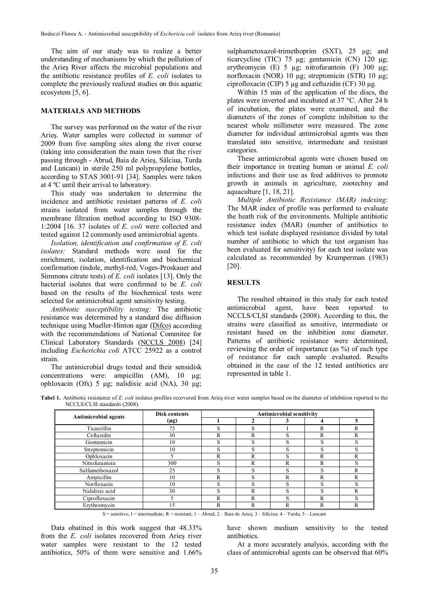The aim of our study was to realize a better understanding of mechanisms by which the pollution of the Arieş River affects the microbial populations and the antibiotic resistance profiles of *E. coli* isolates to complete the previously realized studies on this aquatic ecosystem [5, 6].

## **MATERIALS AND METHODS**

The survey was performed on the water of the river Arieş. Water samples were collected in summer of 2009 from five sampling sites along the river course (taking into consideration the main town that the river passing through - Abrud, Baia de Arieş, Sălciua, Turda and Luncani) in sterile 250 ml polypropylene bottles, according to STAS 3001-91 [34]. Samples were taken at 4 ºC until their arrival to laboratory.

This study was undertaken to determine the incidence and antibiotic resistant patterns of *E. coli* strains isolated from water samples through the membrane filtration method according to ISO 9308- 1:2004 [16. 37 isolates of *E. coli* were collected and tested against 12 commonly used antimicrobial agents.

*Isolation, identification and confirmation of E. coli isolates:* Standard methods were used for the enrichment, isolation, identification and biochemical confirmation (indole, methyl-red, Voges-Proskauer and Simmons citrate tests) of *E. coli* isolates [13]. Only the bacterial isolates that were confirmed to be *E. coli* based on the results of the biochemical tests were selected for antimicrobial agent sensitivity testing.

*Antibiotic susceptibility testing:* The antibiotic resistance was determined by a standard disc diffusion technique using Mueller-Hinton agar ([Difco\)](http://www.bd.com/ds/) according with the recommendations of National Commitee for Clinical Laboratory Standards ([NCCLS 2008\)](http://www.scielo.cl/scielo.php?pid=S0717-34582006000500008&script=sci_arttext#20#20) [24] including *Escherichia coli* ATCC 25922 as a control strain.

The antimicrobial drugs tested and their sensidisk concentrations were: ampicillin (AM), 10 µg; ophloxacin (Ofx) 5 µg; nalidixic acid (NA), 30 µg;

sulphametoxazol-trimethoprim (SXT), 25 µg; and ticarcycline (TIC) 75 µg; gentamicin (CN) 120 µg; erythromycin (E) 5  $\mu$ g; nitrofurantoin (F) 300  $\mu$ g; norfloxacin (NOR) 10 µg; streptomicin (STR) 10 µg; ciprofloxacin (CIP) 5  $\mu$ g and ceftazidin (CF) 30  $\mu$ g.

Within 15 min of the application of the discs, the plates were inverted and incubated at 37 °C. After 24 h of incubation, the plates were examined, and the diameters of the zones of complete inhibition to the nearest whole millimeter were measured. The zone diameter for individual antimicrobial agents was then translated into sensitive, intermediate and resistant categories.

These antimicrobial agents were chosen based on their importance in treating human or animal *E. coli* infections and their use as feed additives to promote growth in animals in agriculture, zootechny and aquaculture [1, 18, 21].

*Multiple Antibiotic Resistance (MAR) indexing:* The MAR index of profile was performed to evaluate the heath risk of the environments. Multiple antibiotic resistance index (MAR) (number of antibiotics to which test isolate displayed resistance divided by total number of antibiotic to which the test organism has been evaluated for sensitivity) for each test isolate was calculated as recommended by Krumperman (1983) [20].

#### **RESULTS**

The resulted obtained in this study for each tested antimicrobial agent, have been reported to NCCLS/CLSI standards (2008). According to this, the strains were classified as sensitive, intermediate or resistant based on the inhibition zone diameter. Patterns of antibiotic resistance were determined, reviewing the order of importance (as %) of each type of resistance for each sample evaluated. Results obtained in the case of the 12 tested antibiotics are represented in table 1.

**Tabel 1.** Antibiotic resistance of *E. coli* isolates profiles recovered from Arieş river water samples based on the diameter of inhibition reported to the NCCLS/CLSI standards (2008).

| <b>Antimicrobial agents</b> | <b>Disk contents</b> | Antimicrobial sensitivity |   |              |   |   |
|-----------------------------|----------------------|---------------------------|---|--------------|---|---|
|                             | $(\mu$ g)            |                           |   |              |   |   |
| Ticarcillin                 | 75                   | G                         | S |              | R | R |
| Ceftazidin                  | 30                   | R                         | R | c            | R | R |
| Gentamicin                  | 10                   | S                         | S | S            | S |   |
| Streptomicin                | 10                   | ົ                         | S | c            | S |   |
| Ophloxacin                  |                      | R                         | R | S            | R | R |
| Nitrofurantoin              | 300                  | S                         | R | $\mathbb{R}$ | R |   |
| Sulfamethoxazol             | 25                   | C                         | S | S            | S | R |
| Ampicillin                  | 10                   | R                         | S | R            | R | R |
| Norfloxacin                 | 10                   | ົ                         | S | S            | c |   |
| Nalidixic acid              | 30                   | S                         | R | S            | S | R |
| Ciprofloxacin               |                      | R                         | R | O            | R |   |
| Erythromycin                | ' 5                  | R                         | R | R            | R | R |

S = sensitive; I = intermediate; R = resistant; 1 – Abrud; 2 – Baia de Arieş; 3 – Sălciua; 4 – Turda; 5 – Luncani

Data obatined in this work suggest that 48.33% from the *E. coli* isolates recovered from Arieş river water samples were resistant to the 12 tested antibiotics, 50% of them were sensitive and 1.66%

have shown medium sensitivity to the tested antibiotics.

At a more accurately analysis, according with the class of antimicrobial agents can be observed that 60%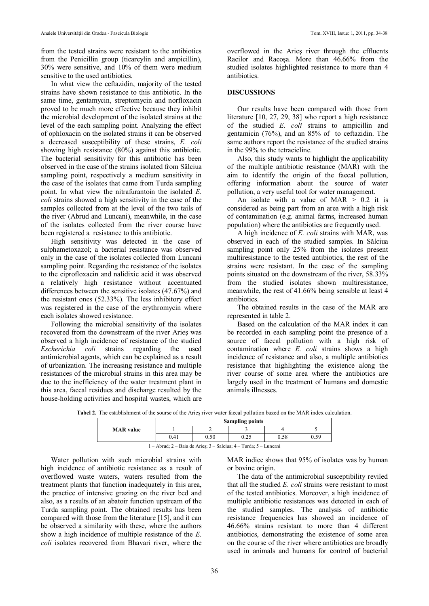from the tested strains were resistant to the antibiotics from the Penicillin group (ticarcylin and ampicillin), 30% were sensitive, and 10% of them were medium sensitive to the used antibiotics.

In what view the ceftazidin, majority of the tested strains have shown resistance to this antibiotic. In the same time, gentamycin, streptomycin and norfloxacin proved to be much more effective because they inhibit the microbial development of the isolated strains at the level of the each sampling point. Analyzing the effect of ophloxacin on the isolated strains it can be observed a decreased susceptibility of these strains, *E. coli* showing high resistance (80%) against this antibiotic. The bacterial sensitivity for this antibiotic has been observed in the case of the strains isolated from Sălciua sampling point, respectively a medium sensitivity in the case of the isolates that came from Turda sampling point. In what view the nitrafurantoin the isolated *E. coli* strains showed a high sensitivity in the case of the samples collected from at the level of the two tails of the river (Abrud and Luncani), meanwhile, in the case of the isolates collected from the river course have been registered a resistance to this antibiotic.

High sensitivity was detected in the case of sulphametoxazol; a bacterial resistance was observed only in the case of the isolates collected from Luncani sampling point. Regarding the resistance of the isolates to the ciprofloxacin and nalidixic acid it was observed a relatively high resistance without accentuated differences between the sensitive isolates (47.67%) and the resistant ones (52.33%). The less inhibitory effect was registered in the case of the erythromycin where each isolates showed resistance.

Following the microbial sensitivity of the isolates recovered from the downstream of the river Arieş was observed a high incidence of resistance of the studied *Escherichia coli* strains regarding the used antimicrobial agents, which can be explained as a result of urbanization. The increasing resistance and multiple resistances of the microbial strains in this area may be due to the inefficiency of the water treatment plant in this area, faecal residues and discharge resulted by the house-holding activities and hospital wastes, which are overflowed in the Arieş river through the effluents Racilor and Racoşa. More than 46.66% from the studied isolates highlighted resistance to more than 4 antibiotics.

### **DISCUSSIONS**

Our results have been compared with those from literature [10, 27, 29, 38] who report a high resistance of the studied *E. coli* strains to ampicillin and gentamicin (76%), and an 85% of to ceftazidin. The same authors report the resistance of the studied strains in the 99% to the tetracicline.

Also, this study wants to highlight the applicability of the multiple antibiotic resistance (MAR) with the aim to identify the origin of the faecal pollution, offering information about the source of water pollution, a very useful tool for water management.

An isolate with a value of  $MAR > 0.2$  it is considered as being part from an area with a high risk of contamination (e.g. animal farms, increased human population) where the antibiotics are frequently used.

A high incidence of *E. coli* strains with MAR, was observed in each of the studied samples. In Sălciua sampling point only 25% from the isolates present multiresistance to the tested antibiotics, the rest of the strains were resistant. In the case of the sampling points situated on the downstream of the river, 58.33% from the studied isolates shown multiresistance, meanwhile, the rest of 41.66% being sensible at least 4 antibiotics.

The obtained results in the case of the MAR are represented in table 2.

Based on the calculation of the MAR index it can be recorded in each sampling point the presence of a source of faecal pollution with a high risk of contamination where *E. coli* strains shows a high incidence of resistance and also, a multiple antibiotics resistance that highlighting the existence along the river course of some area where the antibiotics are largely used in the treatment of humans and domestic animals illnesses.

**Tabel 2.** The establishment of the sourse of the Arieş river water faecal pollution bazed on the MAR index calculation.

|                                                                           | <b>Sampling points</b> |      |                 |      |    |  |  |  |
|---------------------------------------------------------------------------|------------------------|------|-----------------|------|----|--|--|--|
| <b>MAR</b> value                                                          |                        |      |                 |      |    |  |  |  |
|                                                                           | 0.41                   | 0.50 | ሰ ጎ ደ<br>ن کے ر | 0.58 | 50 |  |  |  |
| .<br>_ _ _ _<br>.<br><b>Contract Contract Contract Contract</b><br>$\sim$ |                        |      |                 |      |    |  |  |  |

1 – Abrud; 2 – Baia de Arieş; 3 – Salciua; 4 – Turda; 5 – Luncani

Water pollution with such microbial strains with high incidence of antibiotic resistance as a result of overflowed waste waters, waters resulted from the treatment plants that function inadequately in this area, the practice of intensive grazing on the river bed and also, as a results of an abatoir function upstream of the Turda sampling point. The obtained results has been compared with those from the literature [15], and it can be observed a similarity with these, where the authors show a high incidence of multiple resistance of the *E. coli* isolates recovered from Bhavari river, where the

MAR indice shows that 95% of isolates was by human or bovine origin.

The data of the antimicrobial susceptibility reviled that all the studied *E. coli* strains were resistant to most of the tested antibiotics. Moreover, a high incidence of multiple antibiotic resistances was detected in each of the studied samples. The analysis of antibiotic resistance frequencies has showed an incidence of 46.66% strains resistant to more than 4 different antibiotics, demonstrating the existence of some area on the course of the river where antibiotics are broadly used in animals and humans for control of bacterial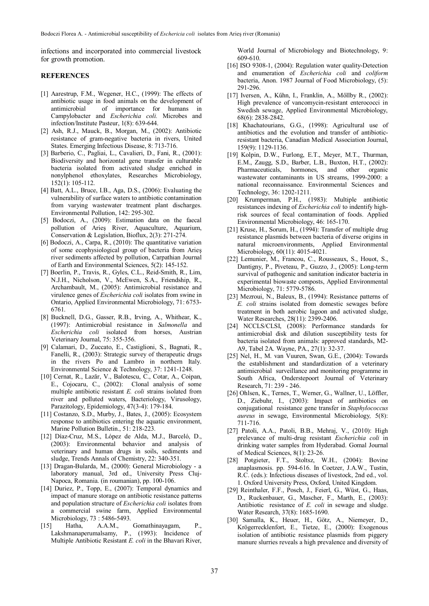infections and incorporated into commercial livestock for growth promotion.

## **REFERENCES**

- [1] Aarestrup, F.M., Wegener, H.C., (1999): The effects of antibiotic usage in food animals on the development of antimicrobial of importance for humans in Campylobacter and *Escherichia coli.* Microbes and infection/Institute Pasteur, 1(8): 639-644.
- [2] Ash, R.J., Mauck, B., Morgan, M., (2002): Antibiotic resistance of gram-negative bacteria in rivers, United States. Emerging Infectious Disease, 8: 713-716.
- [3] Barberio, C., Pagliai, L., Cavalieri, D., Fani, R., (2001): Biodiversity and horizontal gene transfer in culturable bacteria isolated from activated sludge enriched in nonylphenol ethoxylates, Researches Microbiology, 152(1): 105-112.
- [4] Batt, A.L., Bruce, I.B., Aga, D.S., (2006): Evaluating the vulnerability of surface waters to antibiotic contamination from varying wastewater treatment plant discharges. Environmental Pollution, 142: 295-302.
- [5] Bodoczi, A., (2009): Estimation data on the faecal pollution of Arieş River, Aquaculture, Aquarium, Conservation & Legislation, Bioflux, 2(3): 271-274.
- [6] Bodoczi, A., Carpa, R., (2010): The quantitative variation of some ecophysiological group of bacteria from Arieş river sediments affected by pollution, Carpathian Journal of Earth and Environmental Sciences, 5(2): 145-152.
- [7] Boerlin, P., Travis, R., Gyles, C.L., Reid-Smith, R., Lim, N.J.H., Nicholson, V., McEwen, S.A., Friendship, R., Archambault, M., (2005): Antimicrobial resistance and virulence genes of *Escherichia coli* isolates from swine in Ontario, Applied Environmental Microbiology, 71: 6753- 6761.
- [8] Bucknell, D.G., Gasser, R.B., Irving, A., Whithear, K., (1997): Antimicrobial resistance in *Salmonella* and *Escherichia coli* isolated from horses, Austrian Veterinary Journal, 75: 355-356.
- [9] Calamari, D., Zuccato, E., Castiglioni, S., Bagnati, R., Fanelli, R., (2003): Strategic survey of therapeutic drugs in the rivers Po and Lambro in northern Italy. Environmental Science & Technology, 37: 1241-1248.
- [10] [Cernat, R](http://www.ncbi.nlm.nih.gov/sites/entrez?Db=pubmed&Cmd=Search&Term=%22Cernat%20R%22%5BAuthor%5D&itool=EntrezSystem2.PEntrez.Pubmed.Pubmed_ResultsPanel.Pubmed_DiscoveryPanel.Pubmed_RVAbstractPlus)., Lază[r, V](http://www.ncbi.nlm.nih.gov/sites/entrez?Db=pubmed&Cmd=Search&Term=%22Laz%C4%83r%20V%22%5BAuthor%5D&itool=EntrezSystem2.PEntrez.Pubmed.Pubmed_ResultsPanel.Pubmed_DiscoveryPanel.Pubmed_RVAbstractPlus)., [Balotescu, C](http://www.ncbi.nlm.nih.gov/sites/entrez?Db=pubmed&Cmd=Search&Term=%22Balotescu%20C%22%5BAuthor%5D&itool=EntrezSystem2.PEntrez.Pubmed.Pubmed_ResultsPanel.Pubmed_DiscoveryPanel.Pubmed_RVAbstractPlus)., [Cotar, A](http://www.ncbi.nlm.nih.gov/sites/entrez?Db=pubmed&Cmd=Search&Term=%22Cotar%20A%22%5BAuthor%5D&itool=EntrezSystem2.PEntrez.Pubmed.Pubmed_ResultsPanel.Pubmed_DiscoveryPanel.Pubmed_RVAbstractPlus)., [Coipan,](http://www.ncbi.nlm.nih.gov/sites/entrez?Db=pubmed&Cmd=Search&Term=%22Coipan%20E%22%5BAuthor%5D&itool=EntrezSystem2.PEntrez.Pubmed.Pubmed_ResultsPanel.Pubmed_DiscoveryPanel.Pubmed_RVAbstractPlus) [E](http://www.ncbi.nlm.nih.gov/sites/entrez?Db=pubmed&Cmd=Search&Term=%22Coipan%20E%22%5BAuthor%5D&itool=EntrezSystem2.PEntrez.Pubmed.Pubmed_ResultsPanel.Pubmed_DiscoveryPanel.Pubmed_RVAbstractPlus)., [Cojocaru, C.](http://www.ncbi.nlm.nih.gov/sites/entrez?Db=pubmed&Cmd=Search&Term=%22Cojocaru%20C%22%5BAuthor%5D&itool=EntrezSystem2.PEntrez.Pubmed.Pubmed_ResultsPanel.Pubmed_DiscoveryPanel.Pubmed_RVAbstractPlus), (2002): Clonal analysis of some multiple antibiotic resistant *E. coli* strains isolated from river and polluted waters, Bacteriology, Virusology, Parazitology, Epidemiology, 47(3-4): 179-184.
- [11] Costanzo, S.D., Murby, J., Bates, J., (2005): Ecosystem response to antibiotics entering the aquatic environment, Marine Pollution Bulletin., 51: 218-223.
- [12] Díaz-Cruz, M.S., López de Alda, M.J., Barceló, D., (2003): Environmental behavior and analysis of veterinary and human drugs in soils, sediments and sludge, Trends Annals of Chemistry, 22: 340-351.
- [13] Dragan-Bularda, M., (2000): General Microbiology a laboratory manual, 3rd ed., University Press Cluj-Napoca, Romania. (in roumanian), pp. 100-106.
- [14] Duriez, P., Topp, E., (2007): Temporal dynamics and impact of manure storage on antibiotic resistance patterns and population structure of *Escherichia coli* isolates from a commercial swine farm, Applied Environmental
- Microbiology, 73 : 5486-5493.<br>1 Hatha, A.A.M., [15] Hatha, A.A.M., Gomathinayagam, P., Lakshmanaperumalsamy, P., (1993): Incidence of Multiple Antibiotic Resistant *E. coli* in the Bhavari River,

World Journal of Microbiology and Biotechnology, 9: 609-610.

- [16] ISO 9308-1, (2004): Regulation water quality-Detection and enumeration of *Escherichia coli* and *coliform* bacteria, Anon. 1987 Journal of Food Microbiology, (5): 291-296.
- [17] Iversen, A., Kűhn, I., Franklin, A., Mőllby R., (2002): High prevalence of vancomycin-resistant enterococci in Swedish sewage, Applied Environmental Microbiology, 68(6): 2838-2842.
- [18] Khachatourians, G.G., (1998): [Agricultural use of](http://www.biomedexperts.com/Abstract.bme/9835883/Agricultural_use_of_antibiotics_and_the_evolution_and_transfer_of_antibiotic-resistant_bacteria) [antibiotics and the evolution and transfer of antibiotic](http://www.biomedexperts.com/Abstract.bme/9835883/Agricultural_use_of_antibiotics_and_the_evolution_and_transfer_of_antibiotic-resistant_bacteria)[resistant bacteria,](http://www.biomedexperts.com/Abstract.bme/9835883/Agricultural_use_of_antibiotics_and_the_evolution_and_transfer_of_antibiotic-resistant_bacteria) Canadian Medical Association Journal, 159(9): 1129-1136.
- [19] Kolpin, D.W., Furlong, E.T., Meyer, M.T., Thurman, E.M., Zaugg, S.D., Barber, L.B., Buxton, H.T., (2002): Pharmaceuticals, hormones, and other organic wastewater contaminants in US streams, 1999-2000: a national reconnaissance. Environmental Sciences and Technology, 36: 1202-1211.
- [20] Krumperman, P.H., (1983): Multiple antibiotic resistances indexing of *Escherichia coli* to indentify highrisk sources of fecal contamination of foods. [Applied](http://aem.asm.org/) [Environmental Microbiol](http://aem.asm.org/)ogy, 46: 165-170.
- [21] Kruse, H., Sorum, H., (1994): Transfer of multiple drug resistance plasmids between bacteria of diverse origins in natural microenvironments, Applied Environmental Microbiology, 60(11): 4015-4021.
- [22] Lemunier, M., Francou, C., Rousseaux, S., Houot, S., Dantigny, P., Piveteau, P., Guzzo, J., (2005): Long-term survival of pathogenic and sanitation indicator bacteria in experimental biowaste composts, Applied Environmental Microbiology, 71: 5779-5786.
- [23] Mezroui, N., Baleux, B., (1994): Resistance patterns of *E. coli* strains isolated from domestic sewages before treatment in both aerobic lagoon and activated sludge, Water Researches, 28(11): 2399-2406.
- [24] NCCLS/CLSI, (2008): Performance standards for antimicrobial disk and dilution susceptibility tests for bacteria isolated from animals: approved standards, M2- A9, Tabel 2A. Wayne, PA., 27(1): 32-37.
- [25] Nel, H., M. van Vuuren, Swan, G.E., (2004): Towards the establishment and standardization of a veterinary antimicrobial surveillance and monitoring programme in South Africa, Onderstepoort Journal of Veterinary Research, 71: 239 - 246.
- [26] Ohlsen, K., Ternes, T., Werner, G., Wallner, U., Löffler, D., Ziebuhr, I., (2003): Impact of antibiotics on conjugational resistance gene transfer in *Staphylococcus aureus* in sewage, Environmental Microbiology*,* 5(8): 711-716.
- [27] Patoli, A.A., Patoli, B.B., Mehraj, V., (2010): High prelevance of multi-drug resistant *Escherichia coli* in drinking water samples from Hyderabad. Gomal Journal of Medical Sciences, 8(1): 23-26.
- [28] Potgieter, F.T., Stoltsz, W.H., (2004): Bovine anaplasmosis. pp. 594-616. In Coetzer, J.A.W., Tustin, R.C. (eds.): Infectious diseases of livestock, 2nd ed., vol. 1. Oxford University Press, Oxford, United Kingdom.
- [29] Reinthaler, F.F., Posch, J., Feierl, G., Wüst, G., Haas, D., Ruckenbauer, G., Mascher, F., Marth, E., (2003): Antibiotic resistance of *E. coli* in sewage and sludge. Water Research, [37\(8](http://www.sciencedirect.com/science?_ob=PublicationURL&_tockey=%23TOC%235831%232003%23999629991%23416201%23FLA%23&_cdi=5831&_pubType=J&view=c&_auth=y&_acct=C000050221&_version=1&_urlVersion=0&_userid=10&md5=c7cae2ceea127fce785632a320a957b7)): 1685-1690.
- [30] Samalla, K., Heuer, H., Götz, A., Niemeyer, D., Krögerrecklenfort, E., Tietze, E., (2000): Exogenous isolation of antibiotic resistance plasmids from piggery manure slurries reveals a high prevalence and diversity of